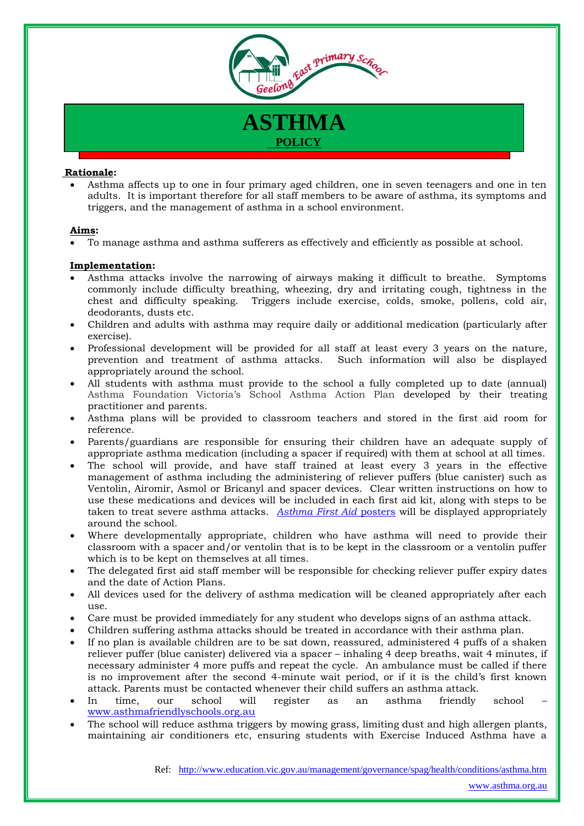

## **ASTHMA POLICY**

## **Rationale:**

 Asthma affects up to one in four primary aged children, one in seven teenagers and one in ten adults. It is important therefore for all staff members to be aware of asthma, its symptoms and triggers, and the management of asthma in a school environment.

## **Aims:**

To manage asthma and asthma sufferers as effectively and efficiently as possible at school.

## **Implementation:**

- Asthma attacks involve the narrowing of airways making it difficult to breathe. Symptoms commonly include difficulty breathing, wheezing, dry and irritating cough, tightness in the chest and difficulty speaking. Triggers include exercise, colds, smoke, pollens, cold air, deodorants, dusts etc.
- Children and adults with asthma may require daily or additional medication (particularly after exercise).
- Professional development will be provided for all staff at least every 3 years on the nature, prevention and treatment of asthma attacks. Such information will also be displayed appropriately around the school.
- All students with asthma must provide to the school a fully completed up to date (annual) Asthma Foundation Victoria's School Asthma Action Plan developed by their treating practitioner and parents.
- Asthma plans will be provided to classroom teachers and stored in the first aid room for reference.
- Parents/guardians are responsible for ensuring their children have an adequate supply of appropriate asthma medication (including a spacer if required) with them at school at all times.
- The school will provide, and have staff trained at least every 3 years in the effective management of asthma including the administering of reliever puffers (blue canister) such as Ventolin, Airomir, Asmol or Bricanyl and spacer devices. Clear written instructions on how to use these medications and devices will be included in each first aid kit, along with steps to be taken to treat severe asthma attacks. *[Asthma First Aid](file:///D:/Users/08241319/AppData/Local/Microsoft/Windows/Temporary%20Internet%20Files/Content.Outlook/AppData/Local/Microsoft/Windows/Temporary%20Internet%20Files/Content.IE5/Attachments/Other/Asthma%20First%20Aid%20Poster.pdf)* posters will be displayed appropriately around the school.
- Where developmentally appropriate, children who have asthma will need to provide their classroom with a spacer and/or ventolin that is to be kept in the classroom or a ventolin puffer which is to be kept on themselves at all times.
- The delegated first aid staff member will be responsible for checking reliever puffer expiry dates and the date of Action Plans.
- All devices used for the delivery of asthma medication will be cleaned appropriately after each use.
- Care must be provided immediately for any student who develops signs of an asthma attack.
- Children suffering asthma attacks should be treated in accordance with their asthma plan.
- If no plan is available children are to be sat down, reassured, administered 4 puffs of a shaken reliever puffer (blue canister) delivered via a spacer – inhaling 4 deep breaths, wait 4 minutes, if necessary administer 4 more puffs and repeat the cycle. An ambulance must be called if there is no improvement after the second 4-minute wait period, or if it is the child's first known attack. Parents must be contacted whenever their child suffers an asthma attack.
- In time, our school will register as an asthma friendly school [www.asthmafriendlyschools.org.au](http://www.asthmafriendlyschools.org.au/)
- The school will reduce asthma triggers by mowing grass, limiting dust and high allergen plants, maintaining air conditioners etc, ensuring students with Exercise Induced Asthma have a